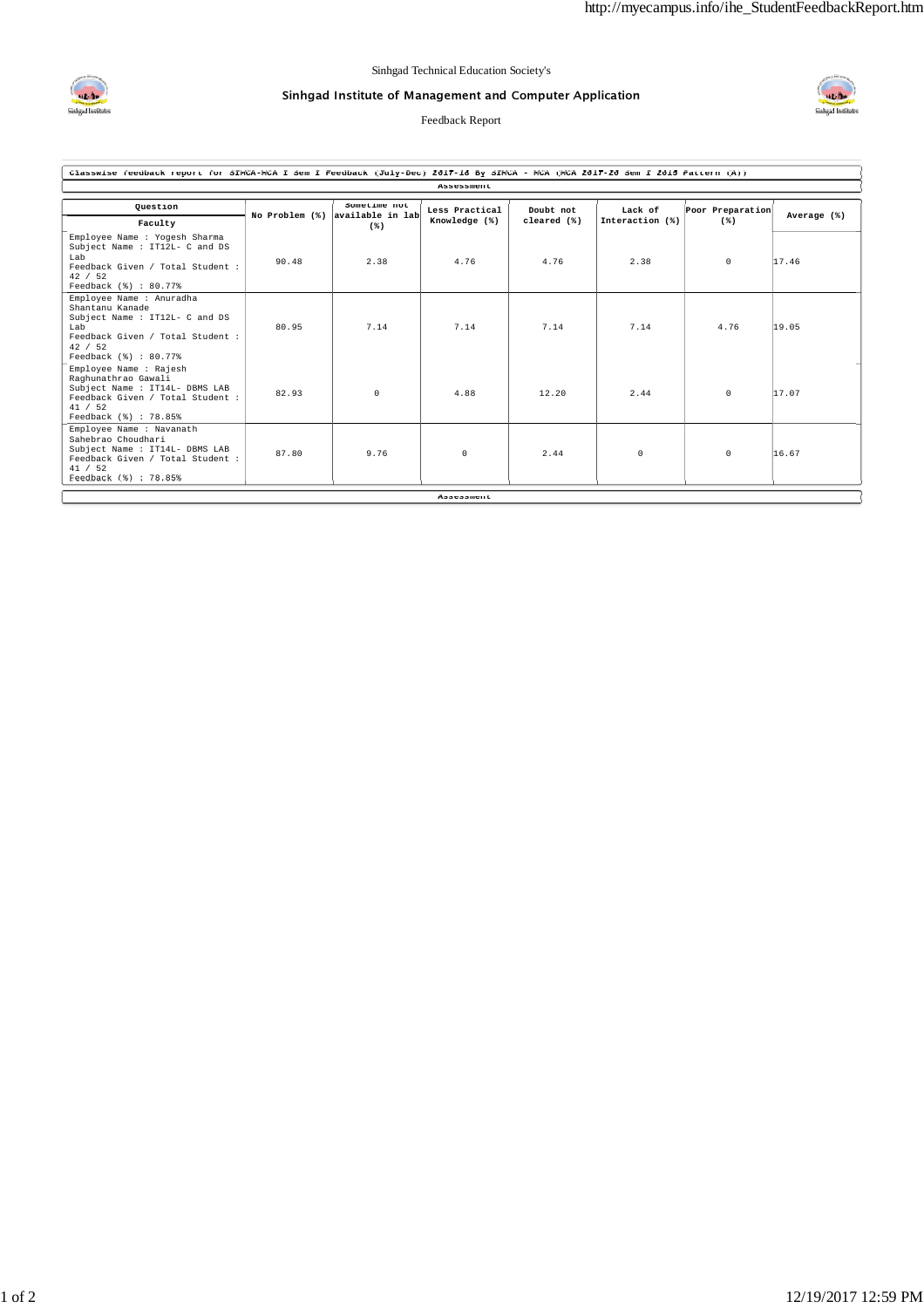

## Sinhgad Institute of Management and Computer Application

Feedback Report



| Classwise feedback report for SIMCA-MCA I Sem I Feedback (July-Dec) 2017-18 By SIMCA - MCA (MCA 2017-20 Sem I 2015 Pattern (A))                              |       |                                                 |                                 |                          |                            |                           |             |  |  |  |  |  |
|--------------------------------------------------------------------------------------------------------------------------------------------------------------|-------|-------------------------------------------------|---------------------------------|--------------------------|----------------------------|---------------------------|-------------|--|--|--|--|--|
| Assessment                                                                                                                                                   |       |                                                 |                                 |                          |                            |                           |             |  |  |  |  |  |
| Ouestion                                                                                                                                                     |       | Sometime not<br>No Problem (%) available in lab | Less Practical<br>Knowledge (%) | Doubt not<br>cleared (%) | Lack of<br>Interaction (%) | Poor Preparation<br>$(*)$ | Average (%) |  |  |  |  |  |
| Faculty                                                                                                                                                      |       | $(*)$                                           |                                 |                          |                            |                           |             |  |  |  |  |  |
| Employee Name : Yogesh Sharma<br>Subject Name : IT12L- C and DS<br>Lab<br>Feedback Given / Total Student :<br>42 / 52<br>Feedback (%) : 80.77%               | 90.48 | 2.38                                            | 4.76                            | 4.76                     | 2.38                       | $^{\circ}$                | 17.46       |  |  |  |  |  |
| Employee Name : Anuradha<br>Shantanu Kanade<br>Subject Name : IT12L- C and DS<br>Lab<br>Feedback Given / Total Student :<br>42 / 52<br>Feedback (%) : 80.77% | 80.95 | 7.14                                            | 7.14                            | 7.14                     | 7.14                       | 4.76                      | 19.05       |  |  |  |  |  |
| Employee Name : Rajesh<br>Raghunathrao Gawali<br>Subject Name : IT14L- DBMS LAB<br>Feedback Given / Total Student :<br>41 / 52<br>Feedback (%) : 78.85%      | 82.93 | $\Omega$                                        | 4.88                            | 12.20                    | 2.44                       | $^{\circ}$                | 17.07       |  |  |  |  |  |
| Employee Name : Navanath<br>Sahebrao Choudhari<br>Subject Name : IT14L- DBMS LAB<br>Feedback Given / Total Student :<br>41 / 52<br>Feedback (%) : 78.85%     | 87.80 | 9.76                                            | $\Omega$                        | 2.44                     | 0                          | $^{\circ}$                | 16.67       |  |  |  |  |  |
|                                                                                                                                                              |       |                                                 | Assessment                      |                          |                            |                           |             |  |  |  |  |  |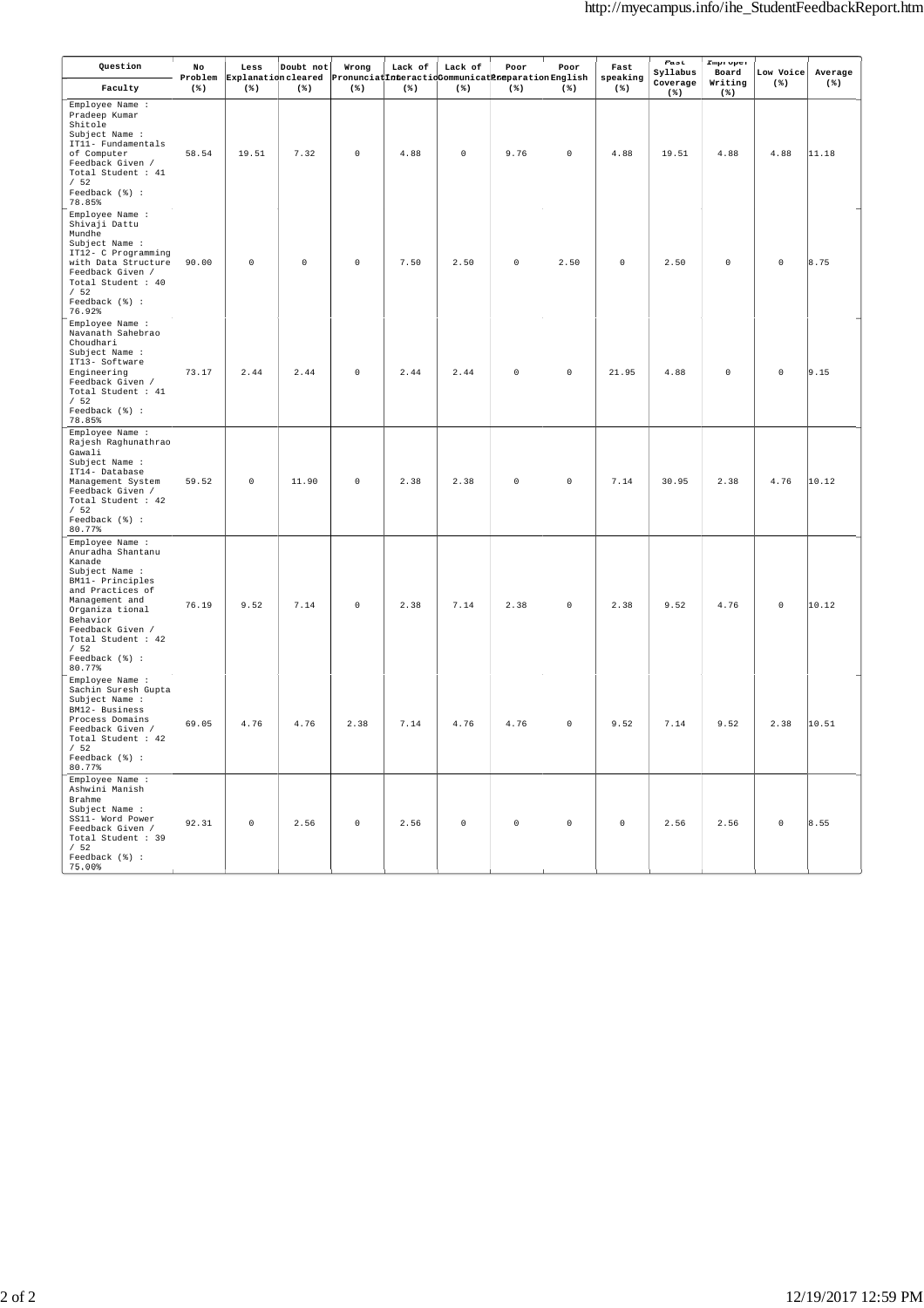| Question                                                                                                                                                                                                                               | No<br>Problem | Less<br>Explanation cleared | Doubt not | Wrong<br>PronunciatInteractioCommunicatPreparationEnglish | Lack of | Lack of             | Poor        | Poor        | Fast<br>speaking | Fast<br>Syllabus<br>Coverage | Improper<br>Board<br>Writing | Low Voice<br>$(*)$ | Average<br>$(*)$ |
|----------------------------------------------------------------------------------------------------------------------------------------------------------------------------------------------------------------------------------------|---------------|-----------------------------|-----------|-----------------------------------------------------------|---------|---------------------|-------------|-------------|------------------|------------------------------|------------------------------|--------------------|------------------|
| Faculty                                                                                                                                                                                                                                | $(*)$         | $(* )$                      | $(*)$     | $(*)$                                                     | $(*)$   | $(*)$               | $(*)$       | $(*)$       | $(*)$            | $(*)$                        | $(*)$                        |                    |                  |
| Employee Name :<br>Pradeep Kumar<br>Shitole<br>Subject Name :<br>IT11- Fundamentals<br>of Computer<br>Feedback Given /<br>Total Student : 41<br>/52<br>Feedback (%) :<br>78.85%                                                        | 58.54         | 19.51                       | 7.32      | $\mathbb O$                                               | 4.88    | $\mathsf{O}\xspace$ | 9.76        | $\mathbb O$ | 4.88             | 19.51                        | 4.88                         | 4.88               | 11.18            |
| Employee Name :<br>Shivaji Dattu<br>Mundhe<br>Subject Name :<br>IT12- C Programming<br>with Data Structure<br>Feedback Given /<br>Total Student : 40<br>/52<br>Feedback (%) :<br>76.92%                                                | 90.00         | $\mathsf 0$                 | 0         | $\mathbb O$                                               | 7.50    | 2.50                | 0           | 2.50        | 0                | 2.50                         | $\mathbb O$                  | $\mathsf 0$        | 8.75             |
| Employee Name :<br>Navanath Sahebrao<br>Choudhari<br>Subject Name :<br>IT13- Software<br>Engineering<br>Feedback Given /<br>Total Student : 41<br>/52<br>Feedback (%) :<br>78.85%                                                      | 73.17         | 2.44                        | 2.44      | $\mathbb O$                                               | 2.44    | 2.44                | $\mathbb O$ | $\mathbb O$ | 21.95            | 4.88                         | $\mathbb O$                  | $\mathsf 0$        | 9.15             |
| Employee Name :<br>Rajesh Raghunathrao<br>Gawali<br>Subject Name :<br>IT14- Database<br>Management System<br>Feedback Given /<br>Total Student : 42<br>/52<br>Feedback (%) :<br>80.77%                                                 | 59.52         | $\mathbb O$                 | 11.90     | $\mathbb O$                                               | 2.38    | 2.38                | $\mathbb O$ | $\mathbb O$ | 7.14             | 30.95                        | 2.38                         | 4.76               | 10.12            |
| Employee Name :<br>Anuradha Shantanu<br>Kanade<br>Subject Name :<br>BM11- Principles<br>and Practices of<br>Management and<br>Organiza tional<br>Behavior<br>Feedback Given /<br>Total Student : 42<br>/52<br>Feedback (%) :<br>80.77% | 76.19         | 9.52                        | 7.14      | $\mathbb O$                                               | 2.38    | 7.14                | 2.38        | $\mathbb O$ | 2.38             | 9.52                         | 4.76                         | $\mathsf 0$        | 10.12            |
| Employee Name :<br>Sachin Suresh Gupta<br>Subject Name :<br>BM12- Business<br>Process Domains<br>Feedback Given /<br>Total Student : 42<br>/52<br>Feedback (%) :<br>80.77%                                                             | 69.05         | 4.76                        | 4.76      | 2.38                                                      | 7.14    | 4.76                | 4.76        | $\mathbb O$ | 9.52             | 7.14                         | 9.52                         | 2.38               | 10.51            |
| Employee Name :<br>Ashwini Manish<br>Brahme<br>Subject Name :<br>SS11- Word Power<br>Feedback Given /<br>Total Student : 39<br>/52<br>Feedback (%) :<br>75.00%                                                                         | 92.31         | $\mathbb O$                 | 2.56      | $\circ$                                                   | 2.56    | $\circ$             | $\mathbb O$ | $\mathbb O$ | $\mathsf 0$      | 2.56                         | 2.56                         | $\mathbb O$        | 8.55             |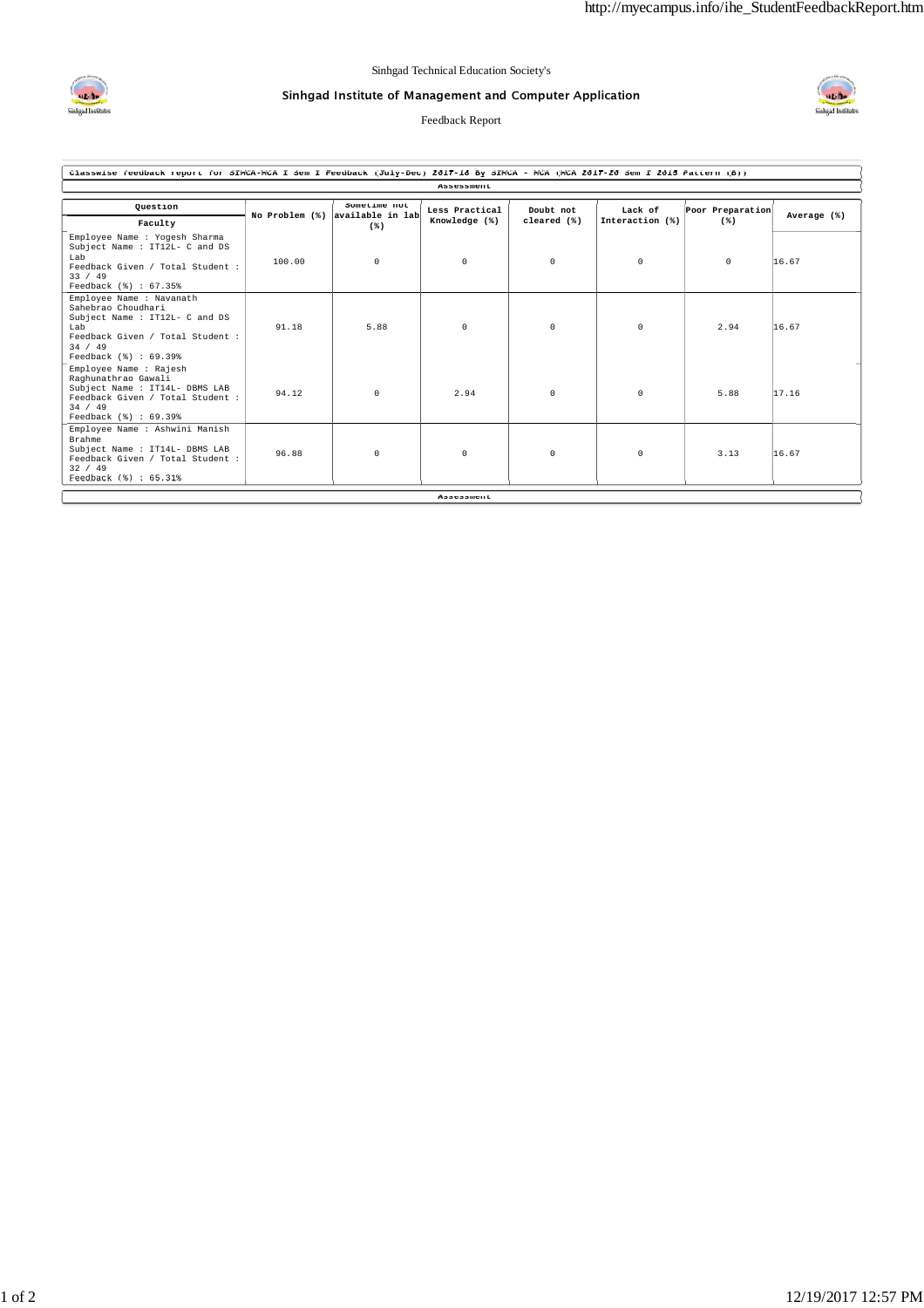

## Sinhgad Institute of Management and Computer Application

Feedback Report



| Classwise feedback report for SIMCA-MCA I Sem I Feedback (July-Dec) 2017-18 By SIMCA - MCA (MCA 2017-20 Sem I 2015 Pattern (B))                                 |                |                                  |                                 |                          |                            |                  |             |  |  |  |  |  |
|-----------------------------------------------------------------------------------------------------------------------------------------------------------------|----------------|----------------------------------|---------------------------------|--------------------------|----------------------------|------------------|-------------|--|--|--|--|--|
| Assessment                                                                                                                                                      |                |                                  |                                 |                          |                            |                  |             |  |  |  |  |  |
| Question                                                                                                                                                        | No Problem (%) | Sometime not<br>available in lab | Less Practical<br>Knowledge (%) | Doubt not<br>cleared (%) | Lack of<br>Interaction (%) | Poor Preparation | Average (%) |  |  |  |  |  |
| Faculty                                                                                                                                                         |                | $(*)$                            |                                 |                          |                            | $(*)$            |             |  |  |  |  |  |
| Employee Name : Yogesh Sharma<br>Subject Name : IT12L- C and DS<br>Lab<br>Feedback Given / Total Student :<br>33 / 49<br>Feedback (%) : 67.35%                  | 100.00         | $\circ$                          | 0                               | $^{\circ}$               | 0                          | $^{\circ}$       | 16.67       |  |  |  |  |  |
| Employee Name : Navanath<br>Sahebrao Choudhari<br>Subject Name : IT12L- C and DS<br>Lab<br>Feedback Given / Total Student :<br>34 / 49<br>Feedback (%) : 69.39% | 91.18          | 5.88                             | $\Omega$                        | $\Omega$                 | 0                          | 2.94             | 16.67       |  |  |  |  |  |
| Employee Name : Rajesh<br>Raghunathrao Gawali<br>Subject Name : IT14L- DBMS LAB<br>Feedback Given / Total Student :<br>34 / 49<br>Feedback (%) : 69.39%         | 94.12          | $\circ$                          | 2.94                            | $^{\circ}$               | 0                          | 5.88             | 17.16       |  |  |  |  |  |
| Employee Name : Ashwini Manish<br>Brahme<br>Subject Name : IT14L- DBMS LAB<br>Feedback Given / Total Student :<br>32 / 49<br>Feedback (%) : 65.31%              | 96.88          | $\Omega$                         | $\Omega$                        | $\Omega$                 | $\Omega$                   | 3.13             | 16.67       |  |  |  |  |  |
|                                                                                                                                                                 |                |                                  | Assessment                      |                          |                            |                  |             |  |  |  |  |  |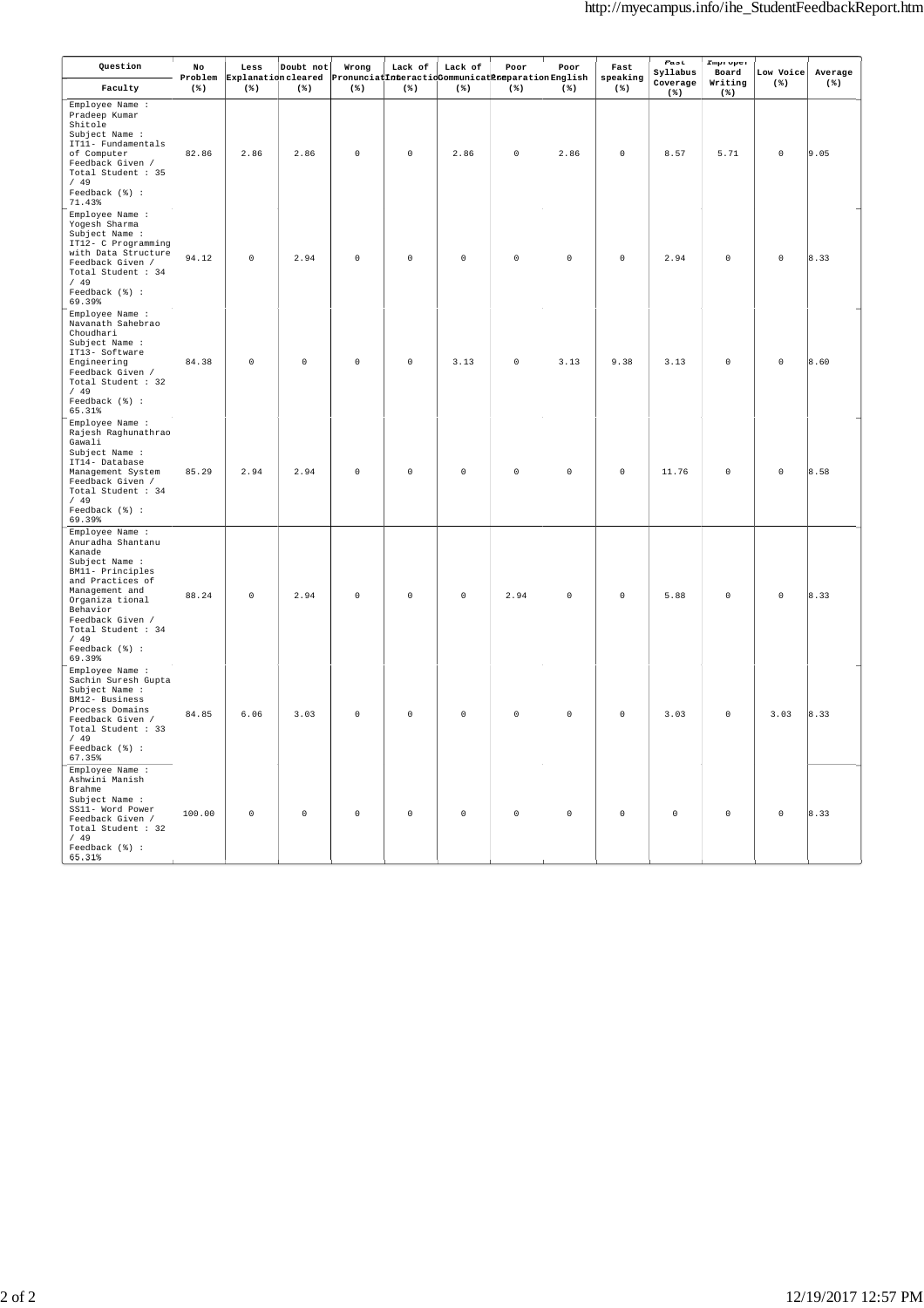| Question                                                                                                                                                                                                                               | No<br>Problem | Less        | Doubt not   | Wrong<br>Explanation cleared Pronunciatinteractionomunicatineparation English | Lack of     | Lack of             | Poor        | Poor        | Fast<br>speaking | Fast<br>Syllabus<br>Coverage | Improper<br>Board<br>Writing | Low Voice<br>$(* )$ | Average<br>$(*)$ |
|----------------------------------------------------------------------------------------------------------------------------------------------------------------------------------------------------------------------------------------|---------------|-------------|-------------|-------------------------------------------------------------------------------|-------------|---------------------|-------------|-------------|------------------|------------------------------|------------------------------|---------------------|------------------|
| Faculty                                                                                                                                                                                                                                | $(*)$         | $(*)$       | $(*)$       | $(*)$                                                                         | $(*)$       | $(*)$               | $(*)$       | $(*)$       | $(*)$            | $(*)$                        | $(*)$                        |                     |                  |
| Employee Name :<br>Pradeep Kumar<br>Shitole<br>Subject Name :<br>IT11- Fundamentals<br>of Computer<br>Feedback Given /<br>Total Student : 35<br>/49<br>Feedback (%) :<br>71.43%                                                        | 82.86         | 2.86        | 2.86        | $\Omega$                                                                      | $\Omega$    | 2.86                | $\mathbb O$ | 2.86        | $\Omega$         | 8.57                         | 5.71                         | $\mathbb O$         | 9.05             |
| Employee Name :<br>Yogesh Sharma<br>Subject Name :<br>IT12- C Programming<br>with Data Structure<br>Feedback Given /<br>Total Student : 34<br>/49<br>Feedback (%) :<br>69.39%                                                          | 94.12         | $\mathsf 0$ | 2.94        | $\mathsf{O}\xspace$                                                           | $\circ$     | $\mathsf{O}\xspace$ | $\circ$     | $\mathbb O$ | $\mathsf 0$      | 2.94                         | $\circ$                      | $\mathsf{O}\xspace$ | 8.33             |
| Employee Name :<br>Navanath Sahebrao<br>Choudhari<br>Subject Name :<br>IT13- Software<br>Engineering<br>Feedback Given /<br>Total Student : 32<br>/49<br>Feedback (%) :<br>65.31%                                                      | 84.38         | $\mathsf 0$ | $\mathsf 0$ | $\mathbb O$                                                                   | $\mathbb O$ | 3.13                | $\mathbb O$ | 3.13        | 9.38             | 3.13                         | $\mathsf 0$                  | $\mathbb O$         | 8.60             |
| Employee Name :<br>Rajesh Raghunathrao<br>Gawali<br>Subject Name :<br>IT14- Database<br>Management System<br>Feedback Given /<br>Total Student : 34<br>/49<br>Feedback (%) :<br>69.39%                                                 | 85.29         | 2.94        | 2.94        | $\mathsf{O}\xspace$                                                           | $\mathbb O$ | $\mathsf{O}\xspace$ | $\mathbb O$ | $\circ$     | $\mathbb O$      | 11.76                        | $\mathsf 0$                  | $\mathbb O$         | 8.58             |
| Employee Name :<br>Anuradha Shantanu<br>Kanade<br>Subject Name :<br>BM11- Principles<br>and Practices of<br>Management and<br>Organiza tional<br>Behavior<br>Feedback Given /<br>Total Student : 34<br>/49<br>Feedback (%) :<br>69.39% | 88.24         | $\mathbb O$ | 2.94        | $\Omega$                                                                      | $\Omega$    | $\mathsf 0$         | 2.94        | $\Omega$    | $\Omega$         | 5.88                         | $\Omega$                     | $\Omega$            | 8.33             |
| Employee Name :<br>Sachin Suresh Gupta<br>Subject Name :<br>BM12- Business<br>Process Domains<br>Feedback Given /<br>Total Student : 33<br>/49<br>Feedback (%) :<br>67.35%                                                             | 84.85         | 6.06        | 3.03        | $\Omega$                                                                      | $\Omega$    | $\mathsf 0$         | $\Omega$    | $\Omega$    | $\Omega$         | 3.03                         | $\Omega$                     | 3.03                | 8.33             |
| Employee Name :<br>Ashwini Manish<br>Brahme<br>Subject Name :<br>SS11- Word Power<br>Feedback Given /<br>Total Student : 32<br>/49<br>Feedback (%) :<br>65.31%                                                                         | 100.00        | $\mathsf 0$ | $\Omega$    | $\Omega$                                                                      | $\Omega$    | $\Omega$            | $\mathbb O$ | $\Omega$    | $\mathbb O$      | $\Omega$                     | $\mathsf 0$                  | $\Omega$            | 8.33             |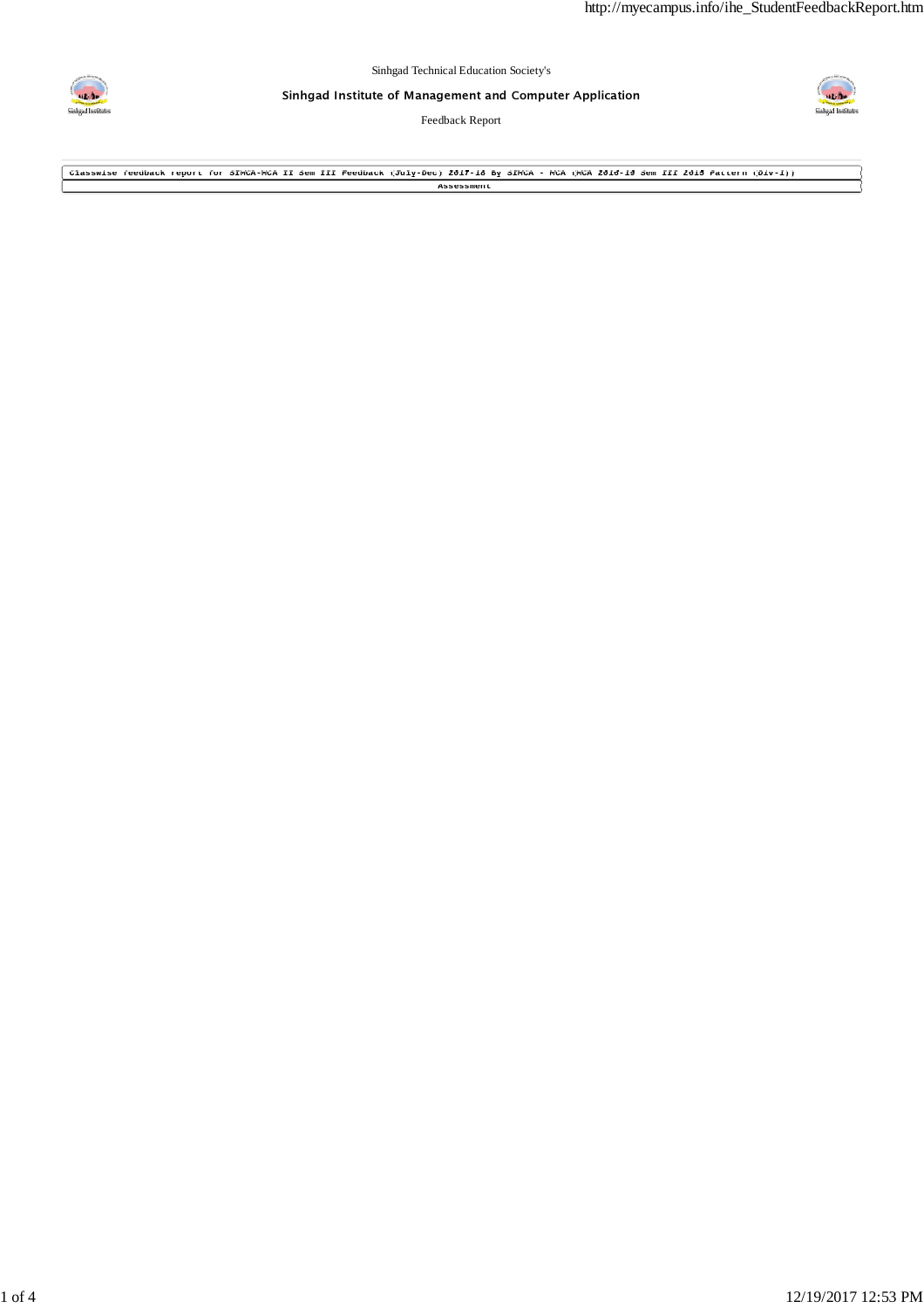

Sinhgad Institute of Management and Computer Application

Feedback Report



**Classwise feedback report for SIMCA-MCA II Sem III Feedback (July-Dec) 2017-18 By SIMCA - MCA (MCA 2016-19 Sem III 2015 Pattern (Div-1)) Assessment**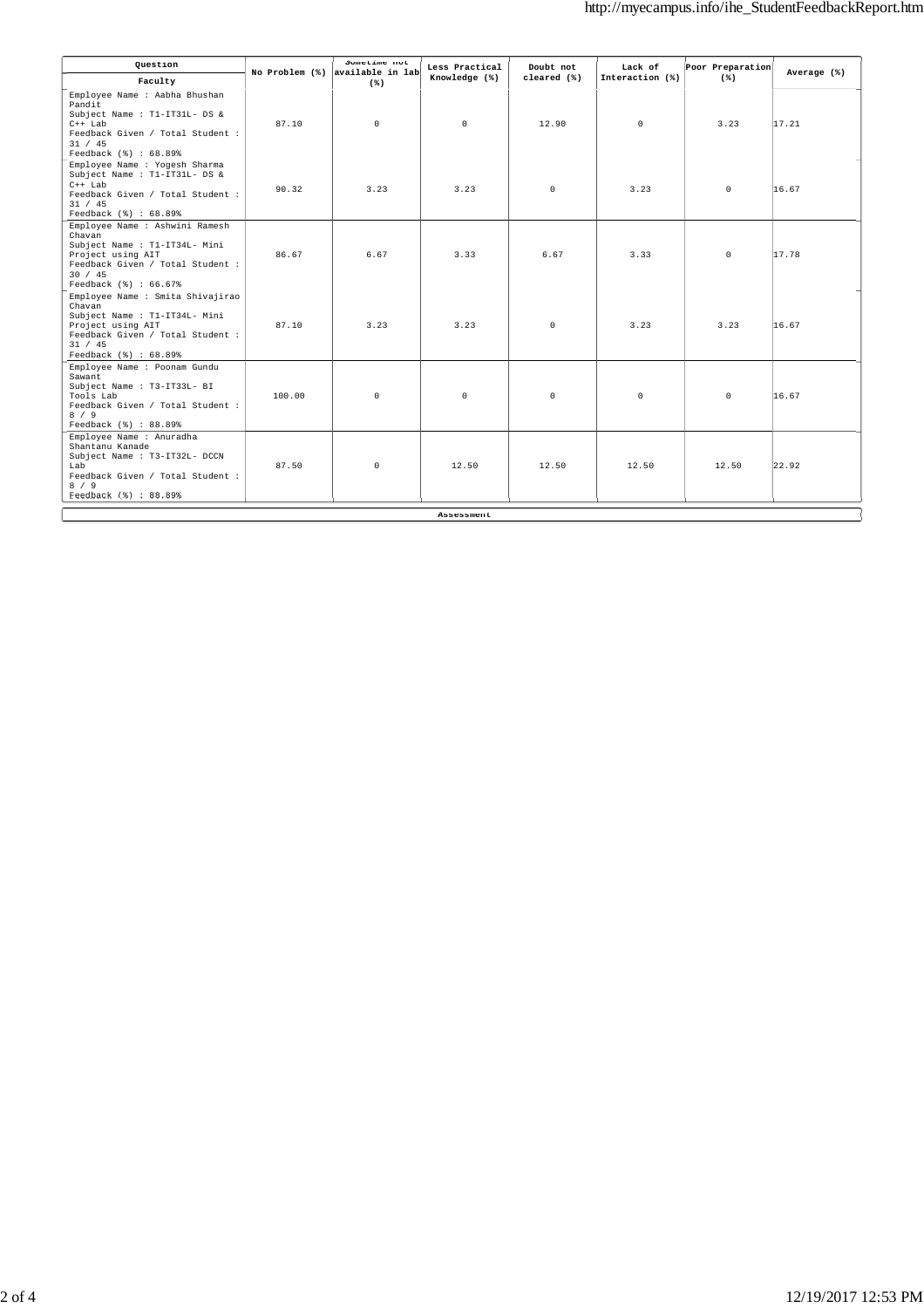| Question                                                                                                                                                                 | No Problem (%) | Sometime not<br>available in lab | Less Practical    | Doubt not   | Lack of         | Poor Preparation | Average (%) |
|--------------------------------------------------------------------------------------------------------------------------------------------------------------------------|----------------|----------------------------------|-------------------|-------------|-----------------|------------------|-------------|
| Faculty                                                                                                                                                                  |                | $(*)$                            | Knowledge (%)     | cleared (%) | Interaction (%) | $(*)$            |             |
| Employee Name : Aabha Bhushan<br>Pandit<br>Subject Name : T1-IT31L- DS &<br>$C++$ Lab<br>Feedback Given / Total Student :<br>31 / 45<br>Feedback (%) : 68.89%            | 87.10          | $\circ$                          | $\Omega$          | 12.90       | $\Omega$        | 3.23             | 17.21       |
| Employee Name : Yogesh Sharma<br>Subject Name : T1-IT31L- DS &<br>$C++$ Lab<br>Feedback Given / Total Student :<br>31 / 45<br>Feedback (%) : 68.89%                      | 90.32          | 3.23                             | 3.23              | $\circ$     | 3.23            | $\circ$          | 16.67       |
| Employee Name : Ashwini Ramesh<br>Chavan<br>Subject Name : T1-IT34L- Mini<br>Project using AIT<br>Feedback Given / Total Student :<br>30 / 45<br>Feedback (%) : 66.67%   | 86.67          | 6.67                             | 3.33              | 6.67        | 3.33            | $\circ$          | 17.78       |
| Employee Name : Smita Shivajirao<br>Chavan<br>Subject Name : T1-IT34L- Mini<br>Project using AIT<br>Feedback Given / Total Student :<br>31 / 45<br>Feedback (%) : 68.89% | 87.10          | 3.23                             | 3.23              | $\Omega$    | 3.23            | 3.23             | 16.67       |
| Employee Name : Poonam Gundu<br>Sawant<br>Subject Name : T3-IT33L- BI<br>Tools Lab<br>Feedback Given / Total Student :<br>8 / 9<br>Feedback (%) : 88.89%                 | 100.00         | $\Omega$                         | $\Omega$          | $\Omega$    | $\circ$         | $\circ$          | 16.67       |
| Employee Name : Anuradha<br>Shantanu Kanade<br>Subject Name : T3-IT32L- DCCN<br>Lab<br>Feedback Given / Total Student :<br>8 / 9<br>Feedback (%) : 88,89%                | 87.50          | $\circ$                          | 12.50             | 12.50       | 12.50           | 12.50            | 22.92       |
|                                                                                                                                                                          |                |                                  | <b>Assessment</b> |             |                 |                  |             |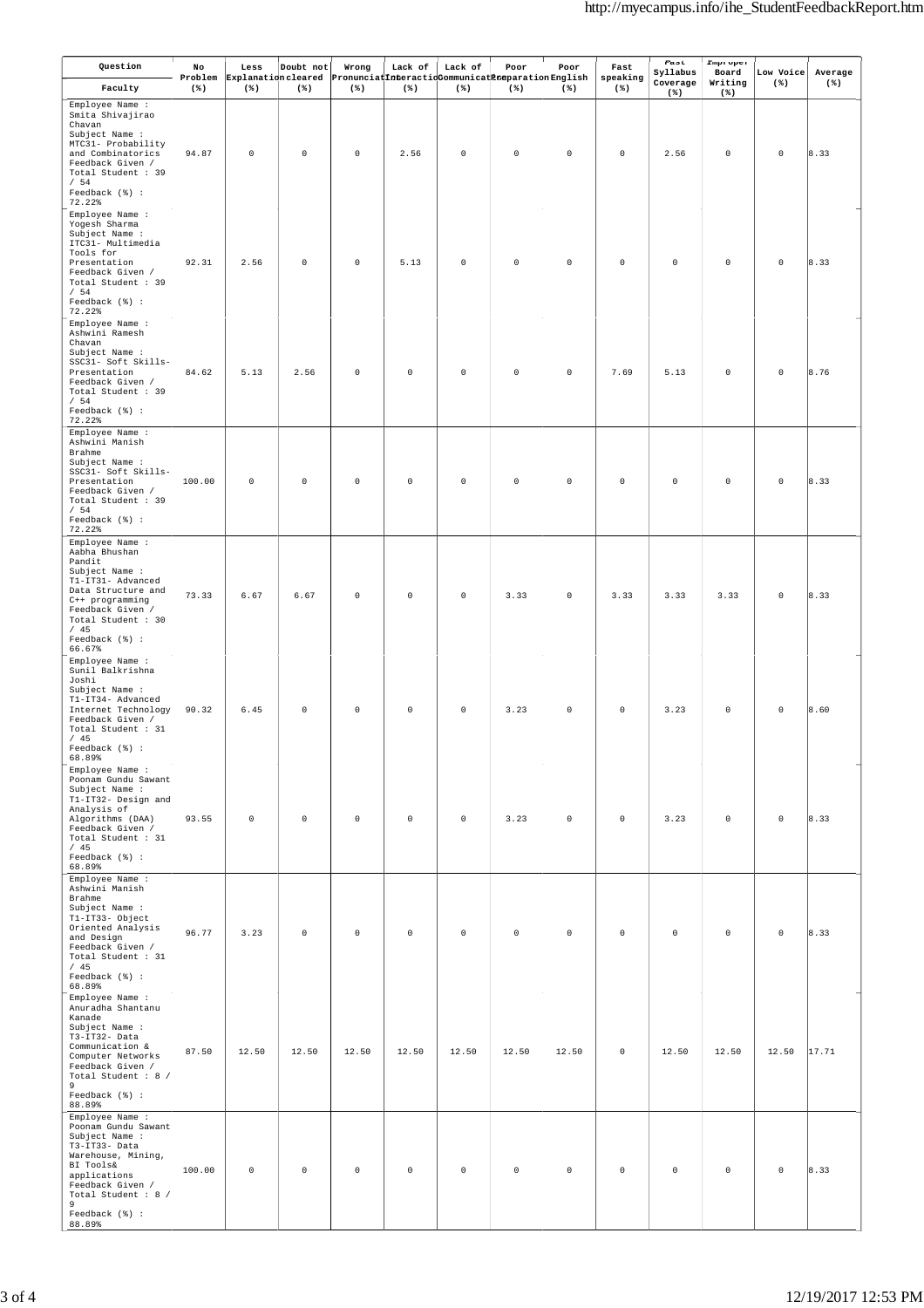| Question                                                                                                                                                                                                   | No<br>Problem | Less<br>Explanation cleared | Doubt not           | Wrong       | Lack of     | Lack of<br>PronunciatInteractioCommunicatPreparationEnglish | Poor        | Poor        | Fast<br>speaking | Fast<br>Syllabus    | Improper<br>Board | Low Voice   | Average |
|------------------------------------------------------------------------------------------------------------------------------------------------------------------------------------------------------------|---------------|-----------------------------|---------------------|-------------|-------------|-------------------------------------------------------------|-------------|-------------|------------------|---------------------|-------------------|-------------|---------|
| Faculty                                                                                                                                                                                                    | $(*)$         | $(*)$                       | $(* )$              | $(*)$       | $(*)$       | $(*)$                                                       | $(*)$       | $(*)$       | $(* )$           | Coverage<br>$(*)$   | Writing<br>$(*)$  | $(*)$       | $(*)$   |
| Employee Name :<br>Smita Shivajirao<br>Chavan<br>Subject Name :<br>MTC31- Probability<br>and Combinatorics<br>Feedback Given /<br>Total Student : 39<br>/54<br>Feedback (%) :<br>72.22%                    | 94.87         | $\mathbb O$                 | $\mathsf{O}\xspace$ | $\mathbb O$ | 2.56        | $\mathbb O$                                                 | $\mathsf 0$ | $\mathbb O$ | $\mathbb O$      | 2.56                | $\mathbb O$       | $\mathbb O$ | 8.33    |
| Employee Name :<br>Yogesh Sharma<br>Subject Name :<br>ITC31- Multimedia<br>Tools for<br>Presentation<br>Feedback Given /<br>Total Student : 39<br>/54<br>Feedback (%) :<br>72.22%                          | 92.31         | 2.56                        | $\mathbb O$         | $\mathbb O$ | 5.13        | $\mathbb O$                                                 | $\mathsf 0$ | $\mathsf 0$ | 0                | $\mathbb O$         | $\mathbb O$       | $\mathbb O$ | 8.33    |
| Employee Name :<br>Ashwini Ramesh<br>Chavan<br>Subject Name :<br>SSC31- Soft Skills-<br>Presentation<br>Feedback Given /<br>Total Student : 39<br>/54<br>Feedback (%) :<br>72.22%                          | 84.62         | 5.13                        | 2.56                | $\mathbb O$ | $\mathbb O$ | $\mathbb O$                                                 | $\mathsf 0$ | $\mathbb O$ | 7.69             | 5.13                | $\mathbb O$       | $\mathbb O$ | 8.76    |
| Employee Name :<br>Ashwini Manish<br>Brahme<br>Subject Name :<br>SSC31- Soft Skills-<br>Presentation<br>Feedback Given /<br>Total Student : 39<br>/54<br>Feedback (%) :<br>72.22%                          | 100.00        | $\mathbb O$                 | $\mathbb O$         | $\mathbb O$ | $\mathbb O$ | $\mathbb O$                                                 | $\mathsf 0$ | $\mathbb O$ | $\mathbb O$      | $\mathbb O$         | $\mathbb O$       | $\mathbb O$ | 8.33    |
| Employee Name :<br>Aabha Bhushan<br>$\texttt{Pandit}$<br>Subject Name :<br>T1-IT31- Advanced<br>Data Structure and<br>C++ programming<br>Feedback Given /<br>Total Student : 30<br>/45<br>Feedback (%) :   | 73.33         | 6.67                        | 6.67                | $\mathbb O$ | $\mathbb O$ | $\mathbb O$                                                 | 3.33        | $\mathbb O$ | 3.33             | 3.33                | 3.33              | $\mathbb O$ | 8.33    |
| 66.67%<br>Employee Name :<br>Sunil Balkrishna<br>Joshi<br>Subject Name :<br>T1-IT34- Advanced<br>Internet Technology<br>Feedback Given /<br>Total Student : 31<br>/45<br>Feedback (%) :                    | 90.32         | 6.45                        | $\mathbb O$         | $\mathbb O$ | $\mathbb O$ | $\mathsf 0$                                                 | 3.23        | $\mathsf 0$ | $\mathsf 0$      | 3.23                | $\mathsf 0$       | $\mathbb O$ | 8.60    |
| 68.89%<br>Employee Name :<br>Poonam Gundu Sawant<br>Subject Name :<br>T1-IT32- Design and<br>Analysis of<br>Algorithms (DAA)<br>Feedback Given /<br>Total Student : 31<br>/45<br>Feedback (%) :            | 93.55         | $\mathbb O$                 | $\mathsf{O}\xspace$ | $\mathbb O$ | $\mathbb O$ | $\circ$                                                     | 3.23        | $\mathbb O$ | $\mathbb O$      | 3.23                | $\mathbb O$       | $\mathbb O$ | 8.33    |
| 68.89%<br>Employee Name :<br>Ashwini Manish<br>Brahme<br>Subject Name :<br>T1-IT33- Object<br>Oriented Analysis<br>and Design<br>Feedback Given /<br>Total Student : 31<br>/45<br>Feedback (%) :<br>68.89% | 96.77         | 3.23                        | $\mathbb O$         | $\mathbb O$ | $\mathbb O$ | $\mathbb O$                                                 | $\mathsf 0$ | $\mathbb O$ | $\mathbb O$      | $\mathbb O$         | $\mathbb O$       | $\mathbb O$ | 8.33    |
| Employee Name :<br>Anuradha Shantanu<br>Kanade<br>Subject Name :<br>$T3-TT32-Data$<br>Communication &<br>Computer Networks<br>Feedback Given /<br>Total Student : 8 /<br>9<br>Feedback (%) :<br>88.89%     | 87.50         | 12.50                       | 12.50               | 12.50       | 12.50       | 12.50                                                       | 12.50       | 12.50       | $\mathbb O$      | 12.50               | 12.50             | 12.50       | 17.71   |
| Employee Name :<br>Poonam Gundu Sawant<br>Subject Name :<br>T3-IT33- Data<br>Warehouse, Mining,<br>BI Tools&<br>applications<br>Feedback Given /<br>Total Student : 8 /<br>9<br>Feedback (%) :<br>88.89%   | 100.00        | $\mathbb O$                 | $\mathbb O$         | $\mathbb O$ | $\mathbb O$ | $\mathbb O$                                                 | $\mathsf 0$ | $\mathbb O$ | $\mathbb O$      | $\mathsf{O}\xspace$ | $\mathbb O$       | $\mathbb O$ | 8.33    |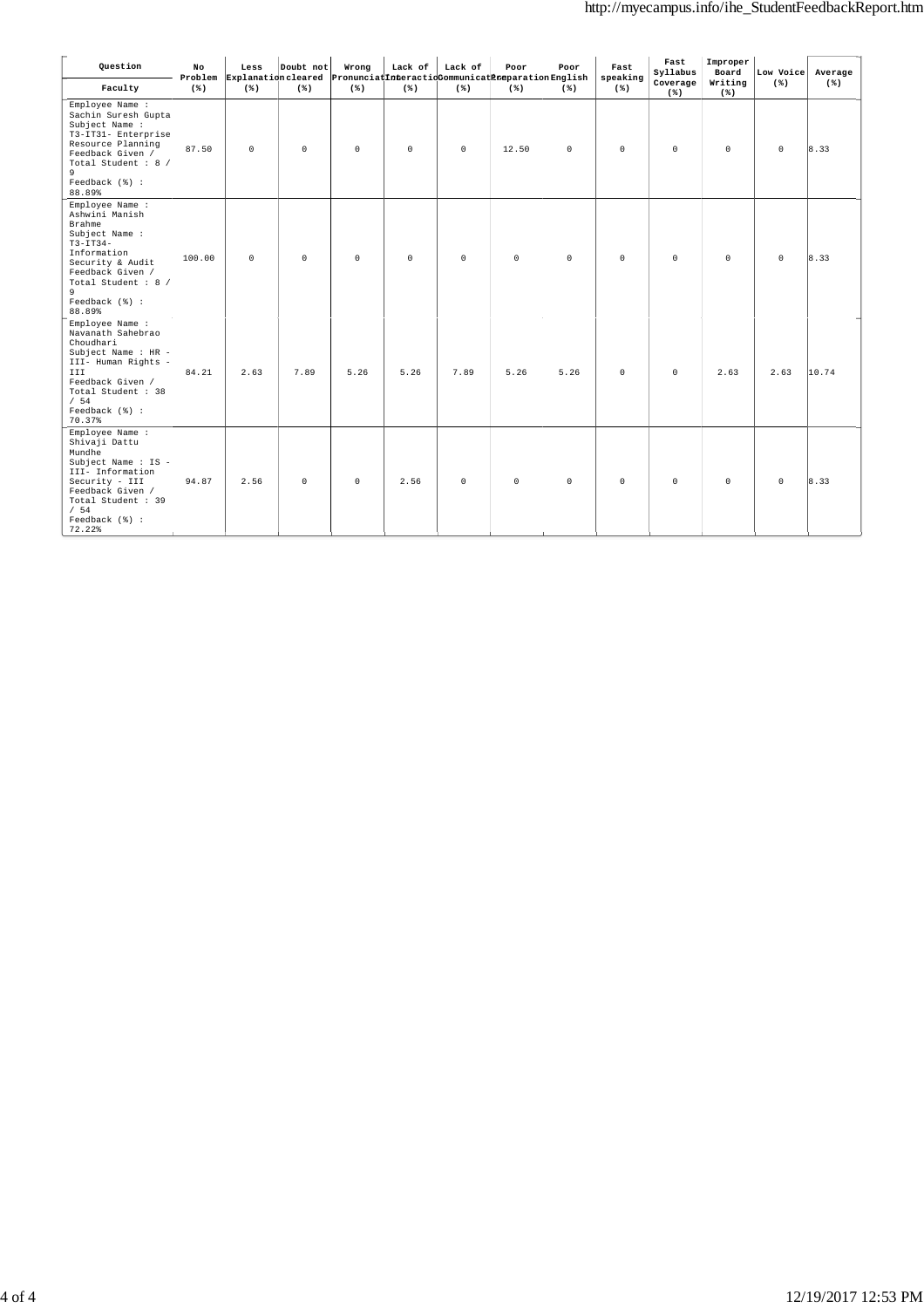| Question                                                                                                                                                                                   | No<br>Problem | Less<br>Explanation cleared | Doubt not | Wrong   | Lack of | Lack of<br>PronunciatInteractioCommunicatPreparationEnglish | Poor     | Poor        | Fast<br>speaking | Fast<br>Syllabus  | Improper<br>Board | Low Voice           | Average        |
|--------------------------------------------------------------------------------------------------------------------------------------------------------------------------------------------|---------------|-----------------------------|-----------|---------|---------|-------------------------------------------------------------|----------|-------------|------------------|-------------------|-------------------|---------------------|----------------|
| Faculty                                                                                                                                                                                    | $(* )$        | $(*)$                       | $(* )$    | $(*)$   | $(*)$   | $(*)$                                                       | $(*)$    | $(*)$       | $(*)$            | Coverage<br>$(*)$ | Writing<br>$(*)$  | $(*)$               | $(*)$          |
| Employee Name :<br>Sachin Suresh Gupta<br>Subject Name :<br>T3-IT31- Enterprise<br>Resource Planning<br>Feedback Given /<br>Total Student : 8 /<br>9<br>Feedback (%) :<br>88.89%           | 87.50         | $\circ$                     | $\circ$   | $\circ$ | $\circ$ | $\circ$                                                     | 12.50    | $\circ$     | $\circ$          | $\circ$           | $\circ$           | $\circ$             | 8.33           |
| Employee Name :<br>Ashwini Manish<br>Brahme<br>Subject Name :<br>$T3-TT34-$<br>Information<br>Security & Audit<br>Feedback Given /<br>Total Student : 8 /<br>9<br>Feedback (%) :<br>88.89% | 100.00        | $\circ$                     | $\circ$   | $\circ$ | $\circ$ | $\mathbb O$                                                 | $\circ$  | $\mathbb O$ | $\circ$          | $\mathsf 0$       | $\circ$           | $\mathsf{O}\xspace$ | 8.33           |
| Employee Name :<br>Navanath Sahebrao<br>Choudhari<br>Subject Name : HR -<br>III- Human Rights -<br>III.<br>Feedback Given /<br>Total Student : 38<br>/54<br>Feedback (%) :<br>70.37%       | 84.21         | 2.63                        | 7.89      | 5.26    | 5.26    | 7.89                                                        | 5.26     | 5.26        | $\circ$          | $\mathbb O$       | 2.63              | 2.63                | 10.74          |
| Employee Name :<br>Shivaji Dattu<br>Mundhe<br>Subject Name : IS -<br>III- Information<br>Security - III<br>Feedback Given /<br>Total Student : 39<br>/54<br>Feedback (%) :<br>72.22        | 94.87         | 2.56                        | $\circ$   | $\circ$ | 2.56    | $\circ$                                                     | $\Omega$ | $\circ$     | $\Omega$         | $\circ$           | $\Omega$          | $\Omega$            | $ 8.33\rangle$ |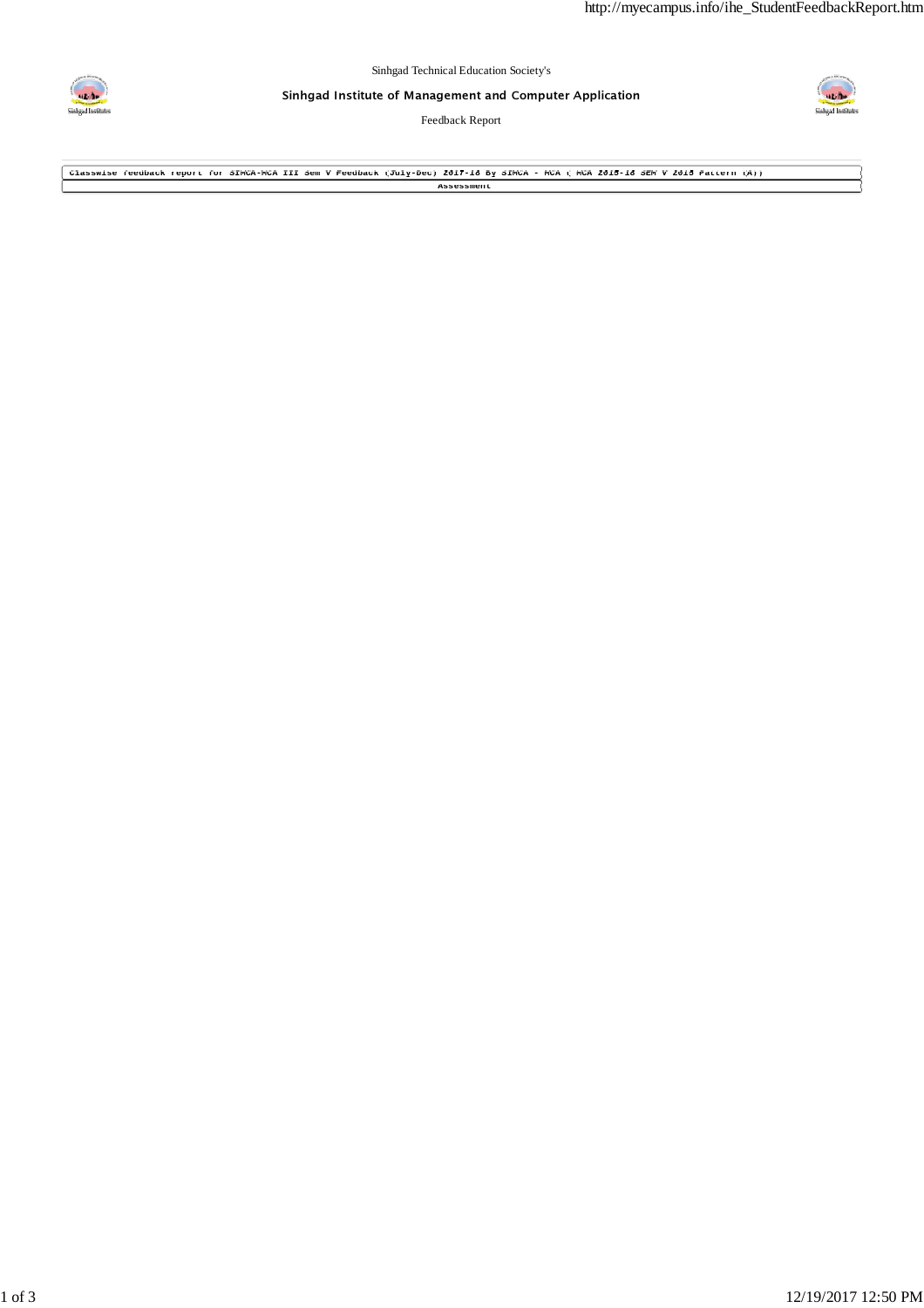

Sinhgad Institute of Management and Computer Application

Feedback Report



**Classwise feedback report for SIMCA-MCA III Sem V Feedback (July-Dec) 2017-18 By SIMCA - MCA ( MCA 2015-18 SEM V 2015 Pattern (A)) Assessment**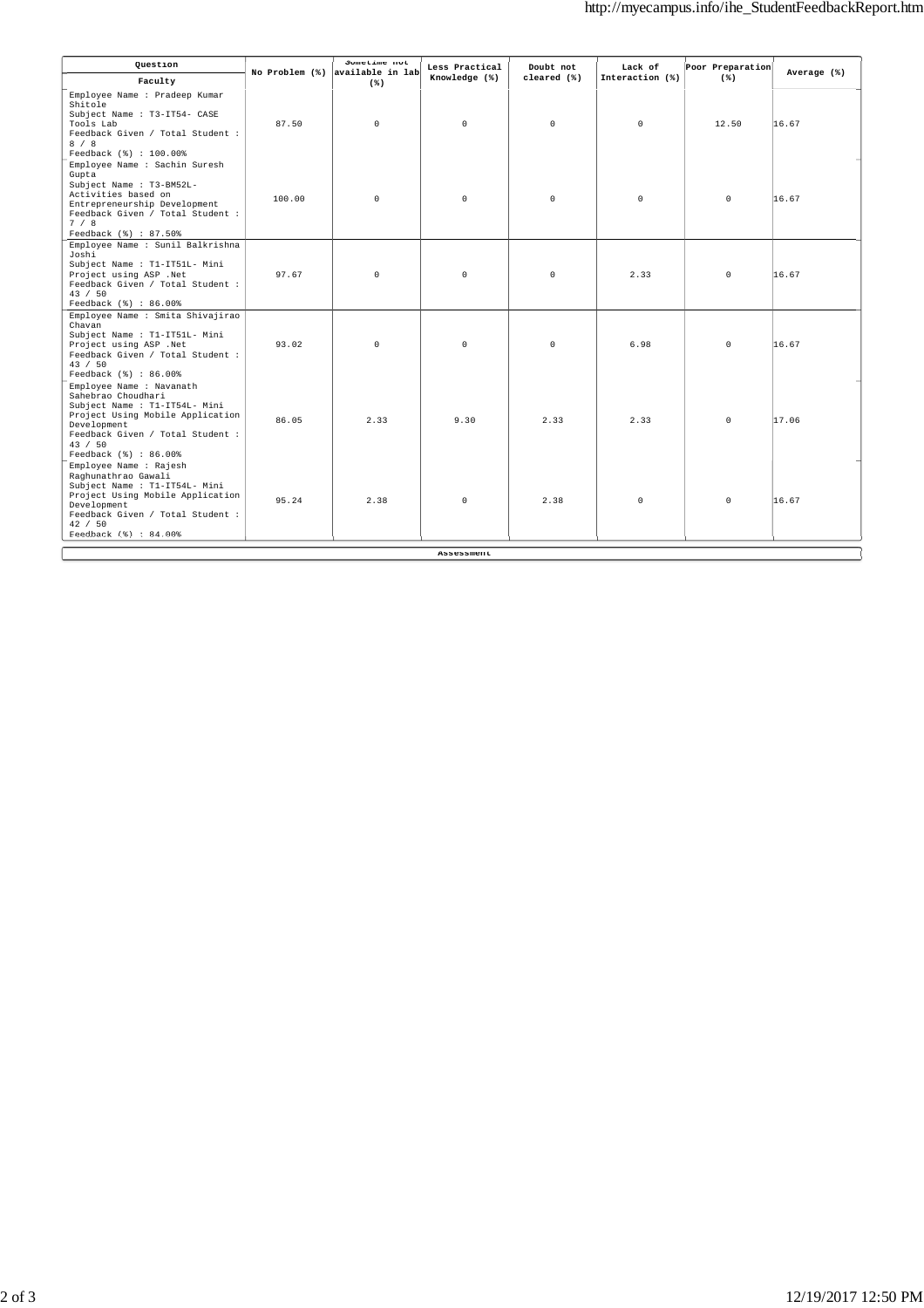| Question                                                                                                                                                                                                   |        | Sometime not<br>No Problem (%) available in lab | Less Practical    | Doubt not   | Lack of         | Poor Preparation |             |
|------------------------------------------------------------------------------------------------------------------------------------------------------------------------------------------------------------|--------|-------------------------------------------------|-------------------|-------------|-----------------|------------------|-------------|
| Faculty                                                                                                                                                                                                    |        | $(*)$                                           | Knowledge (%)     | cleared (%) | Interaction (%) | $(*)$            | Average (%) |
| Employee Name : Pradeep Kumar<br>Shitole<br>Subject Name : T3-IT54- CASE<br>Tools Lab<br>Feedback Given / Total Student :<br>8 / 8<br>Feedback (%) : 100.00%                                               | 87.50  | $\circ$                                         | $\Omega$          | $\Omega$    | $\Omega$        | 12.50            | 16.67       |
| Employee Name : Sachin Suresh<br>Gupta<br>Subject Name : T3-BM52L-<br>Activities based on<br>Entrepreneurship Development<br>Feedback Given / Total Student :<br>7/8<br>Feedback (%) : 87.50%              | 100.00 | $\circ$                                         | $\circ$           | $\circ$     | $\circ$         | $\circ$          | 16.67       |
| Employee Name : Sunil Balkrishna<br>Joshi<br>Subject Name : T1-IT51L- Mini<br>Project using ASP .Net<br>Feedback Given / Total Student :<br>43 / 50<br>Feedback (%) : 86.00%                               | 97.67  | $\Omega$                                        | $\Omega$          | $\Omega$    | 2.33            | $\circ$          | 16.67       |
| Employee Name : Smita Shivajirao<br>Chavan<br>Subject Name : T1-IT51L- Mini<br>Project using ASP .Net<br>Feedback Given / Total Student :<br>43 / 50<br>Feedback (%) : 86.00%                              | 93.02  | $\circ$                                         | $\circ$           | $\circ$     | 6.98            | $\circ$          | 16.67       |
| Employee Name : Navanath<br>Sahebrao Choudhari<br>Subject Name : T1-IT54L- Mini<br>Project Using Mobile Application<br>Development<br>Feedback Given / Total Student :<br>43 / 50<br>Feedback (%) : 86.00% | 86.05  | 2.33                                            | 9.30              | 2.33        | 2.33            | $\circ$          | 17.06       |
| Employee Name : Rajesh<br>Raghunathrao Gawali<br>Subject Name : T1-IT54L- Mini<br>Project Using Mobile Application<br>Development<br>Feedback Given / Total Student :<br>42 / 50<br>Feedback (%) : 84.00%  | 95.24  | 2.38                                            | $\Omega$          | 2.38        | $\Omega$        | $\circ$          | 16.67       |
|                                                                                                                                                                                                            |        |                                                 | <b>Assessment</b> |             |                 |                  |             |